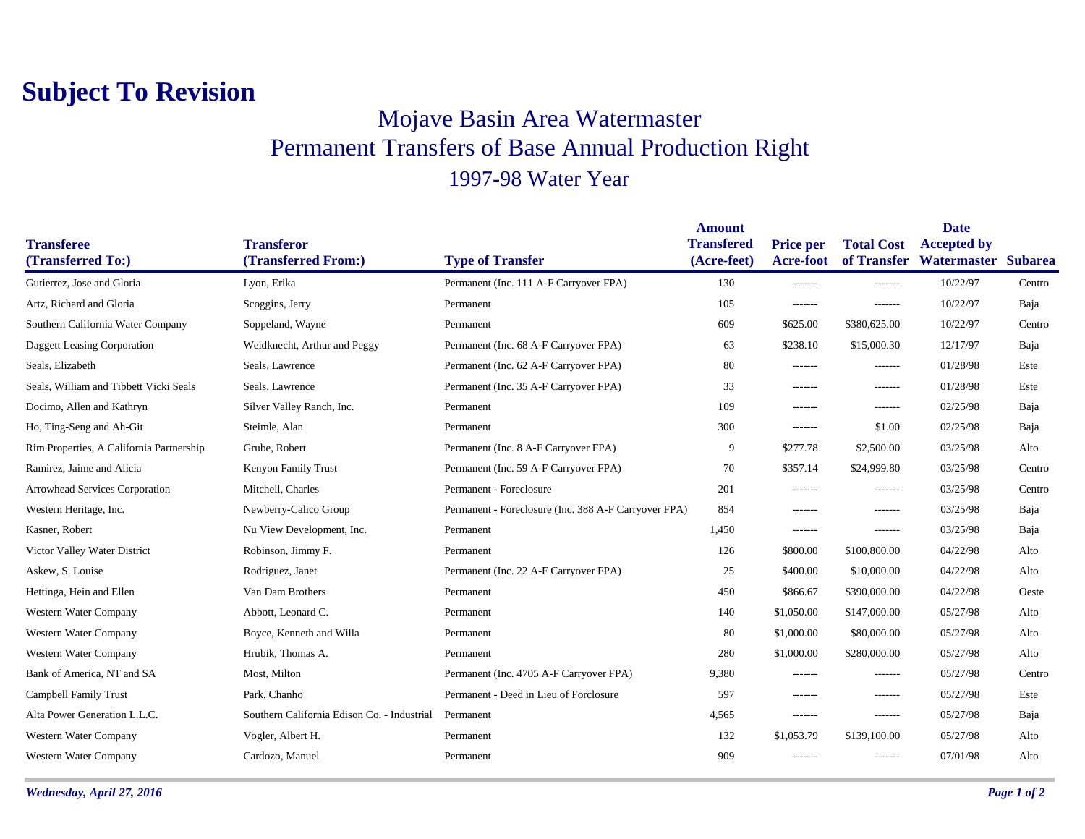## **Subject To Revision**

## Mojave Basin Area Watermaster Permanent Transfers of Base Annual Production Right 1997-98 Water Year

|                                          |                                             |                                                      | <b>Amount</b>     |                  | <b>Date</b>       |                                 |        |
|------------------------------------------|---------------------------------------------|------------------------------------------------------|-------------------|------------------|-------------------|---------------------------------|--------|
| <b>Transferee</b>                        | <b>Transferor</b>                           |                                                      | <b>Transfered</b> | <b>Price per</b> | <b>Total Cost</b> | <b>Accepted by</b>              |        |
| (Transferred To:)                        | (Transferred From:)                         | <b>Type of Transfer</b>                              | (Acre-feet)       | <b>Acre-foot</b> |                   | of Transfer Watermaster Subarea |        |
| Gutierrez, Jose and Gloria               | Lyon, Erika                                 | Permanent (Inc. 111 A-F Carryover FPA)               | 130               | -------          | -------           | 10/22/97                        | Centro |
| Artz, Richard and Gloria                 | Scoggins, Jerry                             | Permanent                                            | 105               | $- - - - - - -$  | -------           | 10/22/97                        | Baja   |
| Southern California Water Company        | Soppeland, Wayne                            | Permanent                                            | 609               | \$625.00         | \$380,625.00      | 10/22/97                        | Centro |
| Daggett Leasing Corporation              | Weidknecht, Arthur and Peggy                | Permanent (Inc. 68 A-F Carryover FPA)                | 63                | \$238.10         | \$15,000.30       | 12/17/97                        | Baja   |
| Seals, Elizabeth                         | Seals, Lawrence                             | Permanent (Inc. 62 A-F Carryover FPA)                | 80                | -------          | -------           | 01/28/98                        | Este   |
| Seals, William and Tibbett Vicki Seals   | Seals, Lawrence                             | Permanent (Inc. 35 A-F Carryover FPA)                | 33                | -------          | $- - - - - - -$   | 01/28/98                        | Este   |
| Docimo, Allen and Kathryn                | Silver Valley Ranch, Inc.                   | Permanent                                            | 109               | -------          | -------           | 02/25/98                        | Baja   |
| Ho, Ting-Seng and Ah-Git                 | Steimle, Alan                               | Permanent                                            | 300               | -------          | \$1.00            | 02/25/98                        | Baja   |
| Rim Properties, A California Partnership | Grube, Robert                               | Permanent (Inc. 8 A-F Carryover FPA)                 | 9                 | \$277.78         | \$2,500.00        | 03/25/98                        | Alto   |
| Ramirez, Jaime and Alicia                | Kenyon Family Trust                         | Permanent (Inc. 59 A-F Carryover FPA)                | 70                | \$357.14         | \$24,999.80       | 03/25/98                        | Centro |
| Arrowhead Services Corporation           | Mitchell, Charles                           | Permanent - Foreclosure                              | 201               | -------          | -------           | 03/25/98                        | Centro |
| Western Heritage, Inc.                   | Newberry-Calico Group                       | Permanent - Foreclosure (Inc. 388 A-F Carryover FPA) | 854               | -------          | -------           | 03/25/98                        | Baja   |
| Kasner, Robert                           | Nu View Development, Inc.                   | Permanent                                            | 1,450             | $- - - - - - -$  | -------           | 03/25/98                        | Baja   |
| Victor Valley Water District             | Robinson, Jimmy F.                          | Permanent                                            | 126               | \$800.00         | \$100,800.00      | 04/22/98                        | Alto   |
| Askew, S. Louise                         | Rodriguez, Janet                            | Permanent (Inc. 22 A-F Carryover FPA)                | 25                | \$400.00         | \$10,000.00       | 04/22/98                        | Alto   |
| Hettinga, Hein and Ellen                 | Van Dam Brothers                            | Permanent                                            | 450               | \$866.67         | \$390,000.00      | 04/22/98                        | Oeste  |
| Western Water Company                    | Abbott, Leonard C.                          | Permanent                                            | 140               | \$1,050.00       | \$147,000.00      | 05/27/98                        | Alto   |
| Western Water Company                    | Boyce, Kenneth and Willa                    | Permanent                                            | 80                | \$1,000.00       | \$80,000.00       | 05/27/98                        | Alto   |
| Western Water Company                    | Hrubik, Thomas A.                           | Permanent                                            | 280               | \$1,000.00       | \$280,000.00      | 05/27/98                        | Alto   |
| Bank of America, NT and SA               | Most, Milton                                | Permanent (Inc. 4705 A-F Carryover FPA)              | 9,380             | -------          | -------           | 05/27/98                        | Centro |
| Campbell Family Trust                    | Park, Chanho                                | Permanent - Deed in Lieu of Forclosure               | 597               | -------          | -------           | 05/27/98                        | Este   |
| Alta Power Generation L.L.C.             | Southern California Edison Co. - Industrial | Permanent                                            | 4,565             | -------          | -------           | 05/27/98                        | Baja   |
| Western Water Company                    | Vogler, Albert H.                           | Permanent                                            | 132               | \$1,053.79       | \$139,100.00      | 05/27/98                        | Alto   |
| Western Water Company                    | Cardozo, Manuel                             | Permanent                                            | 909               | -------          | -------           | 07/01/98                        | Alto   |